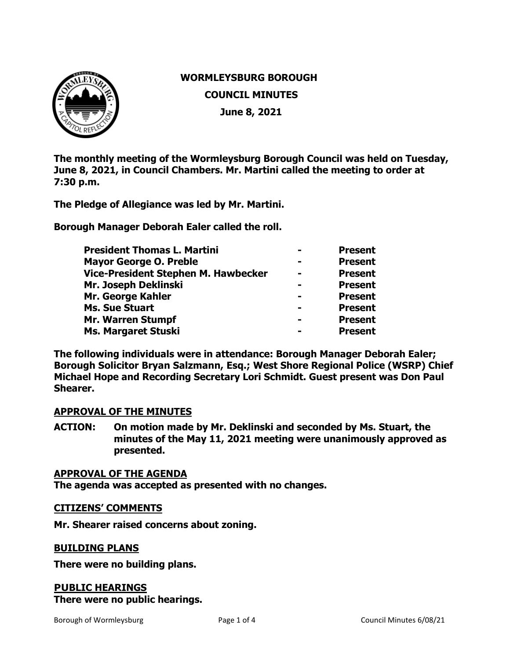

# **WORMLEYSBURG BOROUGH COUNCIL MINUTES**

**June 8, 2021**

**The monthly meeting of the Wormleysburg Borough Council was held on Tuesday, June 8, 2021, in Council Chambers. Mr. Martini called the meeting to order at 7:30 p.m.**

**The Pledge of Allegiance was led by Mr. Martini.** 

**Borough Manager Deborah Ealer called the roll.** 

| <b>President Thomas L. Martini</b>  |                | <b>Present</b> |
|-------------------------------------|----------------|----------------|
| <b>Mayor George O. Preble</b>       |                | <b>Present</b> |
| Vice-President Stephen M. Hawbecker | $\blacksquare$ | <b>Present</b> |
| Mr. Joseph Deklinski                |                | <b>Present</b> |
| Mr. George Kahler                   |                | <b>Present</b> |
| <b>Ms. Sue Stuart</b>               |                | <b>Present</b> |
| <b>Mr. Warren Stumpf</b>            |                | <b>Present</b> |
| Ms. Margaret Stuski                 |                | <b>Present</b> |
|                                     |                |                |

**The following individuals were in attendance: Borough Manager Deborah Ealer; Borough Solicitor Bryan Salzmann, Esq.; West Shore Regional Police (WSRP) Chief Michael Hope and Recording Secretary Lori Schmidt. Guest present was Don Paul Shearer.**

# **APPROVAL OF THE MINUTES**

**ACTION: On motion made by Mr. Deklinski and seconded by Ms. Stuart, the minutes of the May 11, 2021 meeting were unanimously approved as presented.** 

### **APPROVAL OF THE AGENDA**

**The agenda was accepted as presented with no changes.**

### **CITIZENS' COMMENTS**

**Mr. Shearer raised concerns about zoning.**

### **BUILDING PLANS**

**There were no building plans.** 

# **PUBLIC HEARINGS**

**There were no public hearings.**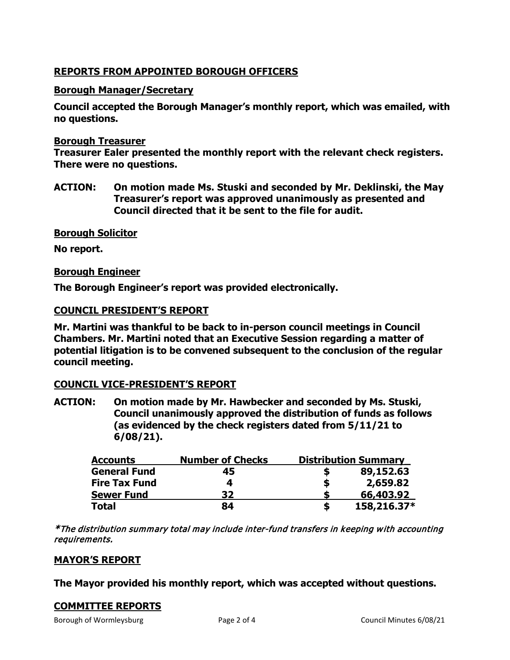# **REPORTS FROM APPOINTED BOROUGH OFFICERS**

### **Borough Manager/Secretary**

**Council accepted the Borough Manager's monthly report, which was emailed, with no questions.**

#### **Borough Treasurer**

**Treasurer Ealer presented the monthly report with the relevant check registers. There were no questions.** 

**ACTION: On motion made Ms. Stuski and seconded by Mr. Deklinski, the May Treasurer's report was approved unanimously as presented and Council directed that it be sent to the file for audit.** 

**Borough Solicitor**

**No report.** 

### **Borough Engineer**

**The Borough Engineer's report was provided electronically.** 

#### **COUNCIL PRESIDENT'S REPORT**

**Mr. Martini was thankful to be back to in-person council meetings in Council Chambers. Mr. Martini noted that an Executive Session regarding a matter of potential litigation is to be convened subsequent to the conclusion of the regular council meeting.**

### **COUNCIL VICE-PRESIDENT'S REPORT**

**ACTION: On motion made by Mr. Hawbecker and seconded by Ms. Stuski, Council unanimously approved the distribution of funds as follows (as evidenced by the check registers dated from 5/11/21 to 6/08/21).**

| <b>Accounts</b>      | <b>Number of Checks</b> | <b>Distribution Summary</b> |             |
|----------------------|-------------------------|-----------------------------|-------------|
| <b>General Fund</b>  | 45                      |                             | 89,152.63   |
| <b>Fire Tax Fund</b> |                         | S                           | 2,659.82    |
| <b>Sewer Fund</b>    | 32                      |                             | 66,403.92   |
| <b>Total</b>         | 84                      | S                           | 158,216.37* |

\*The distribution summary total may include inter-fund transfers in keeping with accounting requirements.

### **MAYOR'S REPORT**

**The Mayor provided his monthly report, which was accepted without questions.** 

### **COMMITTEE REPORTS**

Borough of Wormleysburg **Page 2 of 4** Council Minutes 6/08/21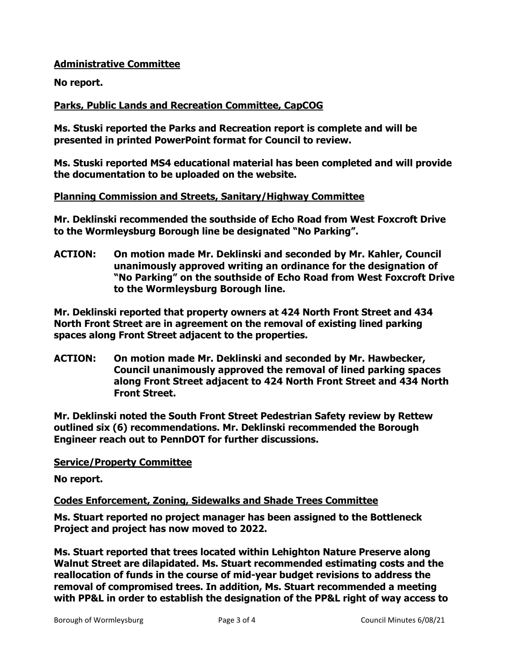### **Administrative Committee**

**No report.**

# **Parks, Public Lands and Recreation Committee, CapCOG**

**Ms. Stuski reported the Parks and Recreation report is complete and will be presented in printed PowerPoint format for Council to review.** 

**Ms. Stuski reported MS4 educational material has been completed and will provide the documentation to be uploaded on the website.**

### **Planning Commission and Streets, Sanitary/Highway Committee**

**Mr. Deklinski recommended the southside of Echo Road from West Foxcroft Drive to the Wormleysburg Borough line be designated "No Parking".**

**ACTION: On motion made Mr. Deklinski and seconded by Mr. Kahler, Council unanimously approved writing an ordinance for the designation of "No Parking" on the southside of Echo Road from West Foxcroft Drive to the Wormleysburg Borough line.** 

**Mr. Deklinski reported that property owners at 424 North Front Street and 434 North Front Street are in agreement on the removal of existing lined parking spaces along Front Street adjacent to the properties.**

**ACTION: On motion made Mr. Deklinski and seconded by Mr. Hawbecker, Council unanimously approved the removal of lined parking spaces along Front Street adjacent to 424 North Front Street and 434 North Front Street.** 

**Mr. Deklinski noted the South Front Street Pedestrian Safety review by Rettew outlined six (6) recommendations. Mr. Deklinski recommended the Borough Engineer reach out to PennDOT for further discussions.**

### **Service/Property Committee**

**No report.**

### **Codes Enforcement, Zoning, Sidewalks and Shade Trees Committee**

**Ms. Stuart reported no project manager has been assigned to the Bottleneck Project and project has now moved to 2022.**

**Ms. Stuart reported that trees located within Lehighton Nature Preserve along Walnut Street are dilapidated. Ms. Stuart recommended estimating costs and the reallocation of funds in the course of mid-year budget revisions to address the removal of compromised trees. In addition, Ms. Stuart recommended a meeting with PP&L in order to establish the designation of the PP&L right of way access to**